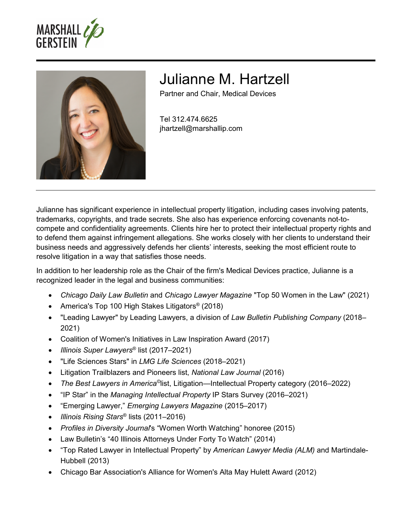



# Julianne M. Hartzell

Partner and Chair, Medical Devices

Tel 312.474.6625 jhartzell@marshallip.com

Julianne has significant experience in intellectual property litigation, including cases involving patents, trademarks, copyrights, and trade secrets. She also has experience enforcing covenants not-tocompete and confidentiality agreements. Clients hire her to protect their intellectual property rights and to defend them against infringement allegations. She works closely with her clients to understand their business needs and aggressively defends her clients' interests, seeking the most efficient route to resolve litigation in a way that satisfies those needs.

In addition to her leadership role as the Chair of the firm's Medical Devices practice, Julianne is a recognized leader in the legal and business communities:

- *Chicago Daily Law Bulletin* and *Chicago Lawyer Magazine* "Top 50 Women in the Law" (2021)
- America's Top 100 High Stakes Litigators<sup>®</sup> (2018)
- "Leading Lawyer" by Leading Lawyers, a division of *Law Bulletin Publishing Company* (2018– 2021)
- Coalition of Women's Initiatives in Law Inspiration Award (2017)
- *Illinois Super Lawyers*® list (2017–2021)
- "Life Sciences Stars" in *LMG Life Sciences* (2018–2021)
- Litigation Trailblazers and Pioneers list, *National Law Journal* (2016)
- The Best Lawyers in America<sup>©</sup>list, Litigation—Intellectual Property category (2016–2022)
- "IP Star" in the *Managing Intellectual Property* IP Stars Survey (2016–2021)
- "Emerging Lawyer," *Emerging Lawyers Magazine* (2015–2017)
- *Illinois Rising Stars*® lists (2011–2016)
- *Profiles in Diversity Journal*'s "Women Worth Watching" honoree (2015)
- Law Bulletin's "40 Illinois Attorneys Under Forty To Watch" (2014)
- "Top Rated Lawyer in Intellectual Property" by *American Lawyer Media (ALM)* and Martindale-Hubbell (2013)
- Chicago Bar Association's Alliance for Women's Alta May Hulett Award (2012)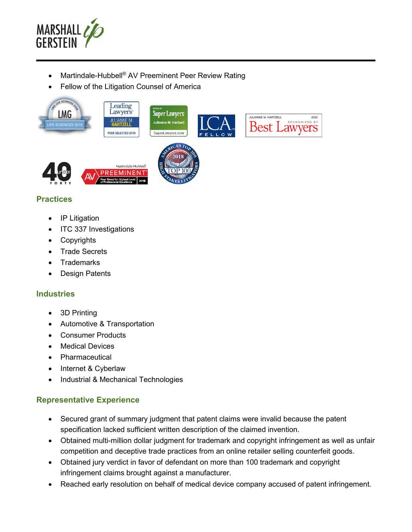

- Martindale-Hubbell<sup>®</sup> AV Preeminent Peer Review Rating
- Fellow of the Litigation Counsel of America



# **Practices**

- IP Litigation
- ITC 337 Investigations
- Copyrights
- Trade Secrets
- **Trademarks**
- Design Patents

# **Industries**

- 3D Printing
- Automotive & Transportation
- Consumer Products
- Medical Devices
- Pharmaceutical
- Internet & Cyberlaw
- Industrial & Mechanical Technologies

# **Representative Experience**

- Secured grant of summary judgment that patent claims were invalid because the patent specification lacked sufficient written description of the claimed invention.
- Obtained multi-million dollar judgment for trademark and copyright infringement as well as unfair competition and deceptive trade practices from an online retailer selling counterfeit goods.
- Obtained jury verdict in favor of defendant on more than 100 trademark and copyright infringement claims brought against a manufacturer.
- Reached early resolution on behalf of medical device company accused of patent infringement.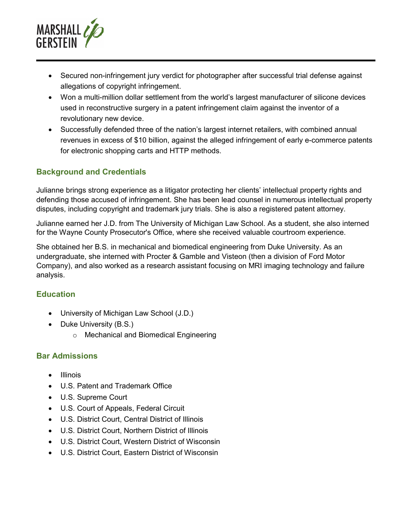

- Secured non-infringement jury verdict for photographer after successful trial defense against allegations of copyright infringement.
- Won a multi-million dollar settlement from the world's largest manufacturer of silicone devices used in reconstructive surgery in a patent infringement claim against the inventor of a revolutionary new device.
- Successfully defended three of the nation's largest internet retailers, with combined annual revenues in excess of \$10 billion, against the alleged infringement of early e-commerce patents for electronic shopping carts and HTTP methods.

# **Background and Credentials**

Julianne brings strong experience as a litigator protecting her clients' intellectual property rights and defending those accused of infringement. She has been lead counsel in numerous intellectual property disputes, including copyright and trademark jury trials. She is also a registered patent attorney.

Julianne earned her J.D. from The University of Michigan Law School. As a student, she also interned for the Wayne County Prosecutor's Office, where she received valuable courtroom experience.

She obtained her B.S. in mechanical and biomedical engineering from Duke University. As an undergraduate, she interned with Procter & Gamble and Visteon (then a division of Ford Motor Company), and also worked as a research assistant focusing on MRI imaging technology and failure analysis.

# **Education**

- University of Michigan Law School (J.D.)
- Duke University (B.S.)
	- o Mechanical and Biomedical Engineering

#### **Bar Admissions**

- **•** Illinois
- U.S. Patent and Trademark Office
- U.S. Supreme Court
- U.S. Court of Appeals, Federal Circuit
- U.S. District Court, Central District of Illinois
- U.S. District Court, Northern District of Illinois
- U.S. District Court, Western District of Wisconsin
- U.S. District Court, Eastern District of Wisconsin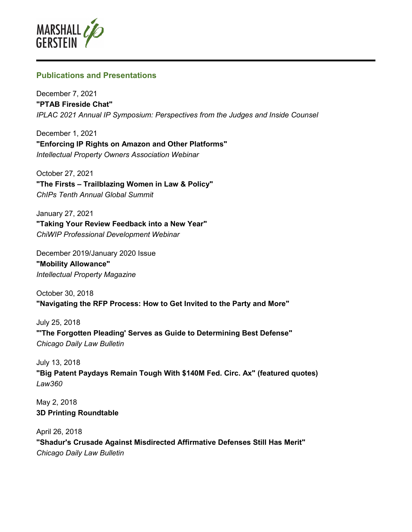

# **Publications and Presentations**

December 7, 2021 **"PTAB Fireside Chat"**  *IPLAC 2021 Annual IP Symposium: Perspectives from the Judges and Inside Counsel* 

December 1, 2021 **"Enforcing IP Rights on Amazon and Other Platforms"**  *Intellectual Property Owners Association Webinar* 

October 27, 2021 **"The Firsts – Trailblazing Women in Law & Policy"**  *ChIPs Tenth Annual Global Summit* 

January 27, 2021 **"Taking Your Review Feedback into a New Year"**  *ChiWIP Professional Development Webinar* 

December 2019/January 2020 Issue **"Mobility Allowance"**  *Intellectual Property Magazine* 

October 30, 2018 **"Navigating the RFP Process: How to Get Invited to the Party and More"** 

July 25, 2018 **"'The Forgotten Pleading' Serves as Guide to Determining Best Defense"**  *Chicago Daily Law Bulletin* 

July 13, 2018 **"Big Patent Paydays Remain Tough With \$140M Fed. Circ. Ax" (featured quotes)**  *Law360* 

May 2, 2018 **3D Printing Roundtable** 

April 26, 2018 **"Shadur's Crusade Against Misdirected Affirmative Defenses Still Has Merit"**  *Chicago Daily Law Bulletin*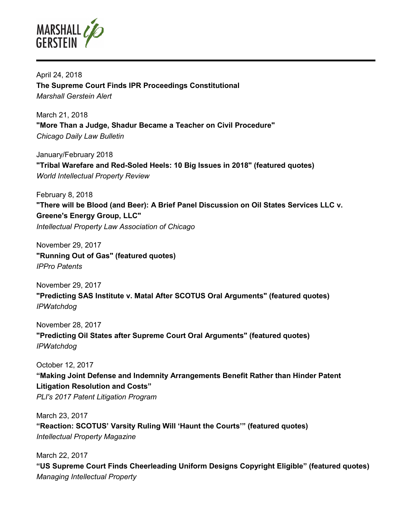

April 24, 2018 **The Supreme Court Finds IPR Proceedings Constitutional**  *Marshall Gerstein Alert* 

March 21, 2018 **"More Than a Judge, Shadur Became a Teacher on Civil Procedure"**  *Chicago Daily Law Bulletin* 

January/February 2018 **"Tribal Warefare and Red-Soled Heels: 10 Big Issues in 2018" (featured quotes)**  *World Intellectual Property Review* 

February 8, 2018 **"There will be Blood (and Beer): A Brief Panel Discussion on Oil States Services LLC v. Greene's Energy Group, LLC"**  *Intellectual Property Law Association of Chicago* 

November 29, 2017 **"Running Out of Gas" (featured quotes)**  *IPPro Patents* 

November 29, 2017 **"Predicting SAS Institute v. Matal After SCOTUS Oral Arguments" (featured quotes)**  *IPWatchdog* 

November 28, 2017 **"Predicting Oil States after Supreme Court Oral Arguments" (featured quotes)**  *IPWatchdog* 

October 12, 2017

**"Making Joint Defense and Indemnity Arrangements Benefit Rather than Hinder Patent Litigation Resolution and Costs"**  *PLI's 2017 Patent Litigation Program* 

March 23, 2017 **"Reaction: SCOTUS' Varsity Ruling Will 'Haunt the Courts'" (featured quotes)**  *Intellectual Property Magazine* 

March 22, 2017 **"US Supreme Court Finds Cheerleading Uniform Designs Copyright Eligible" (featured quotes)**  *Managing Intellectual Property*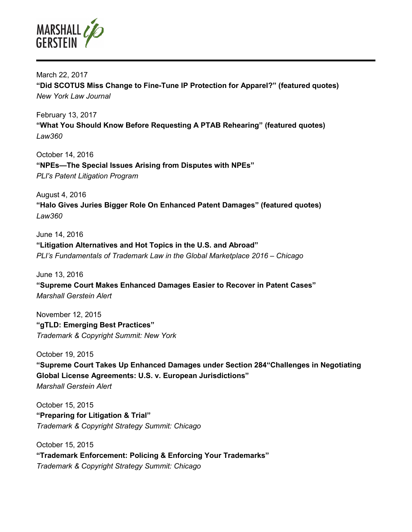

March 22, 2017 **"Did SCOTUS Miss Change to Fine-Tune IP Protection for Apparel?" (featured quotes)**  *New York Law Journal* 

February 13, 2017 **"What You Should Know Before Requesting A PTAB Rehearing" (featured quotes)**  *Law360* 

October 14, 2016 **"NPEs—The Special Issues Arising from Disputes with NPEs"**  *PLI's Patent Litigation Program* 

August 4, 2016 **"Halo Gives Juries Bigger Role On Enhanced Patent Damages" (featured quotes)**  *Law360* 

June 14, 2016 **"Litigation Alternatives and Hot Topics in the U.S. and Abroad"**  *PLI's Fundamentals of Trademark Law in the Global Marketplace 2016 – Chicago* 

June 13, 2016 **"Supreme Court Makes Enhanced Damages Easier to Recover in Patent Cases"**  *Marshall Gerstein Alert* 

November 12, 2015 **"gTLD: Emerging Best Practices"**  *Trademark & Copyright Summit: New York* 

October 19, 2015 **"Supreme Court Takes Up Enhanced Damages under Section 284"Challenges in Negotiating Global License Agreements: U.S. v. European Jurisdictions"**  *Marshall Gerstein Alert* 

October 15, 2015 **"Preparing for Litigation & Trial"**  *Trademark & Copyright Strategy Summit: Chicago* 

October 15, 2015 **"Trademark Enforcement: Policing & Enforcing Your Trademarks"**  *Trademark & Copyright Strategy Summit: Chicago*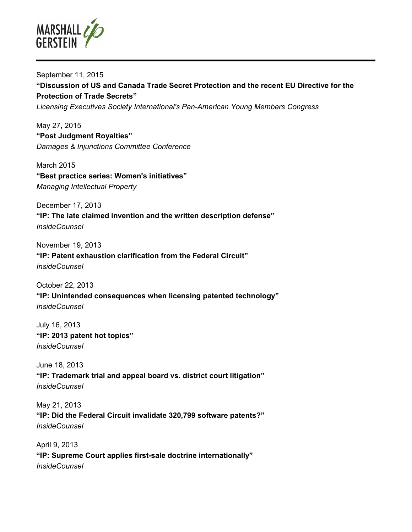

September 11, 2015 **"Discussion of US and Canada Trade Secret Protection and the recent EU Directive for the Protection of Trade Secrets"**  *Licensing Executives Society International's Pan-American Young Members Congress* 

May 27, 2015 **"Post Judgment Royalties"**  *Damages & Injunctions Committee Conference* 

March 2015 **"Best practice series: Women's initiatives"**  *Managing Intellectual Property* 

December 17, 2013 **"IP: The late claimed invention and the written description defense"**  *InsideCounsel* 

November 19, 2013

**"IP: Patent exhaustion clarification from the Federal Circuit"**  *InsideCounsel* 

October 22, 2013 **"IP: Unintended consequences when licensing patented technology"**  *InsideCounsel* 

July 16, 2013 **"IP: 2013 patent hot topics"**  *InsideCounsel* 

June 18, 2013 **"IP: Trademark trial and appeal board vs. district court litigation"**  *InsideCounsel* 

May 21, 2013 **"IP: Did the Federal Circuit invalidate 320,799 software patents?"**  *InsideCounsel* 

April 9, 2013 **"IP: Supreme Court applies first-sale doctrine internationally"**  *InsideCounsel*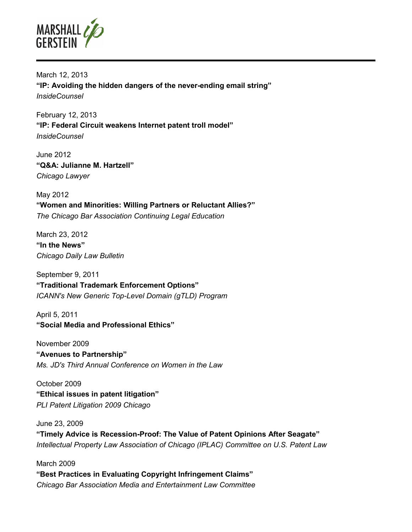

March 12, 2013 **"IP: Avoiding the hidden dangers of the never-ending email string"**  *InsideCounsel* 

February 12, 2013 **"IP: Federal Circuit weakens Internet patent troll model"**  *InsideCounsel* 

June 2012 **"Q&A: Julianne M. Hartzell"**  *Chicago Lawyer* 

May 2012 **"Women and Minorities: Willing Partners or Reluctant Allies?"**  *The Chicago Bar Association Continuing Legal Education* 

March 23, 2012 **"In the News"**  *Chicago Daily Law Bulletin* 

September 9, 2011 **"Traditional Trademark Enforcement Options"**  *ICANN's New Generic Top-Level Domain (gTLD) Program* 

April 5, 2011 **"Social Media and Professional Ethics"** 

November 2009 **"Avenues to Partnership"**  *Ms. JD's Third Annual Conference on Women in the Law* 

October 2009 **"Ethical issues in patent litigation"**  *PLI Patent Litigation 2009 Chicago* 

June 23, 2009 **"Timely Advice is Recession-Proof: The Value of Patent Opinions After Seagate"**  *Intellectual Property Law Association of Chicago (IPLAC) Committee on U.S. Patent Law* 

March 2009 **"Best Practices in Evaluating Copyright Infringement Claims"**  *Chicago Bar Association Media and Entertainment Law Committee*